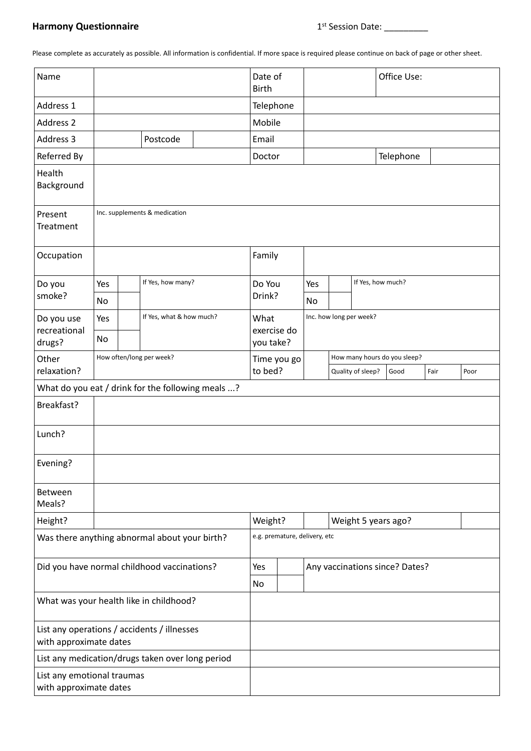## **Harmony Questionnaire**

Please complete as accurately as possible. All information is confidential. If more space is required please continue on back of page or other sheet.

| Name                                                                  |                               |     |                          |                                | Date of<br><b>Birth</b>          |                               |                              |                   |                         | Office Use: |      |      |
|-----------------------------------------------------------------------|-------------------------------|-----|--------------------------|--------------------------------|----------------------------------|-------------------------------|------------------------------|-------------------|-------------------------|-------------|------|------|
| Address 1                                                             |                               |     |                          |                                | Telephone                        |                               |                              |                   |                         |             |      |      |
| Address 2                                                             |                               |     |                          |                                | Mobile                           |                               |                              |                   |                         |             |      |      |
| Address 3                                                             |                               |     | Postcode                 |                                | Email                            |                               |                              |                   |                         |             |      |      |
| Referred By                                                           |                               |     |                          |                                | Doctor                           |                               |                              |                   |                         | Telephone   |      |      |
| Health<br>Background                                                  |                               |     |                          |                                |                                  |                               |                              |                   |                         |             |      |      |
| Present<br><b>Treatment</b>                                           | Inc. supplements & medication |     |                          |                                |                                  |                               |                              |                   |                         |             |      |      |
| Occupation                                                            |                               |     |                          |                                | Family                           |                               |                              |                   |                         |             |      |      |
| Do you                                                                | If Yes, how many?<br>Yes      |     |                          | Do You                         |                                  | Yes                           |                              | If Yes, how much? |                         |             |      |      |
| smoke?                                                                | No                            |     |                          |                                | Drink?                           |                               | No                           |                   |                         |             |      |      |
| Do you use<br>recreational<br>drugs?                                  | Yes<br>No                     |     | If Yes, what & how much? |                                | What<br>exercise do<br>you take? |                               |                              |                   | Inc. how long per week? |             |      |      |
| Other                                                                 |                               |     | How often/long per week? |                                | Time you go                      |                               | How many hours do you sleep? |                   |                         |             |      |      |
| relaxation?                                                           |                               |     |                          |                                | to bed?                          |                               |                              |                   | Quality of sleep?       | Good        | Fair | Poor |
| What do you eat / drink for the following meals ?                     |                               |     |                          |                                |                                  |                               |                              |                   |                         |             |      |      |
| Breakfast?                                                            |                               |     |                          |                                |                                  |                               |                              |                   |                         |             |      |      |
| Lunch?                                                                |                               |     |                          |                                |                                  |                               |                              |                   |                         |             |      |      |
| Evening?                                                              |                               |     |                          |                                |                                  |                               |                              |                   |                         |             |      |      |
| Between<br>Meals?                                                     |                               |     |                          |                                |                                  |                               |                              |                   |                         |             |      |      |
| Height?                                                               |                               |     |                          |                                | Weight?<br>Weight 5 years ago?   |                               |                              |                   |                         |             |      |      |
| Was there anything abnormal about your birth?                         |                               |     |                          |                                |                                  | e.g. premature, delivery, etc |                              |                   |                         |             |      |      |
| Did you have normal childhood vaccinations?                           |                               | Yes |                          | Any vaccinations since? Dates? |                                  |                               |                              |                   |                         |             |      |      |
|                                                                       |                               |     |                          |                                | No                               |                               |                              |                   |                         |             |      |      |
| What was your health like in childhood?                               |                               |     |                          |                                |                                  |                               |                              |                   |                         |             |      |      |
| List any operations / accidents / illnesses<br>with approximate dates |                               |     |                          |                                |                                  |                               |                              |                   |                         |             |      |      |
| List any medication/drugs taken over long period                      |                               |     |                          |                                |                                  |                               |                              |                   |                         |             |      |      |
| List any emotional traumas<br>with approximate dates                  |                               |     |                          |                                |                                  |                               |                              |                   |                         |             |      |      |